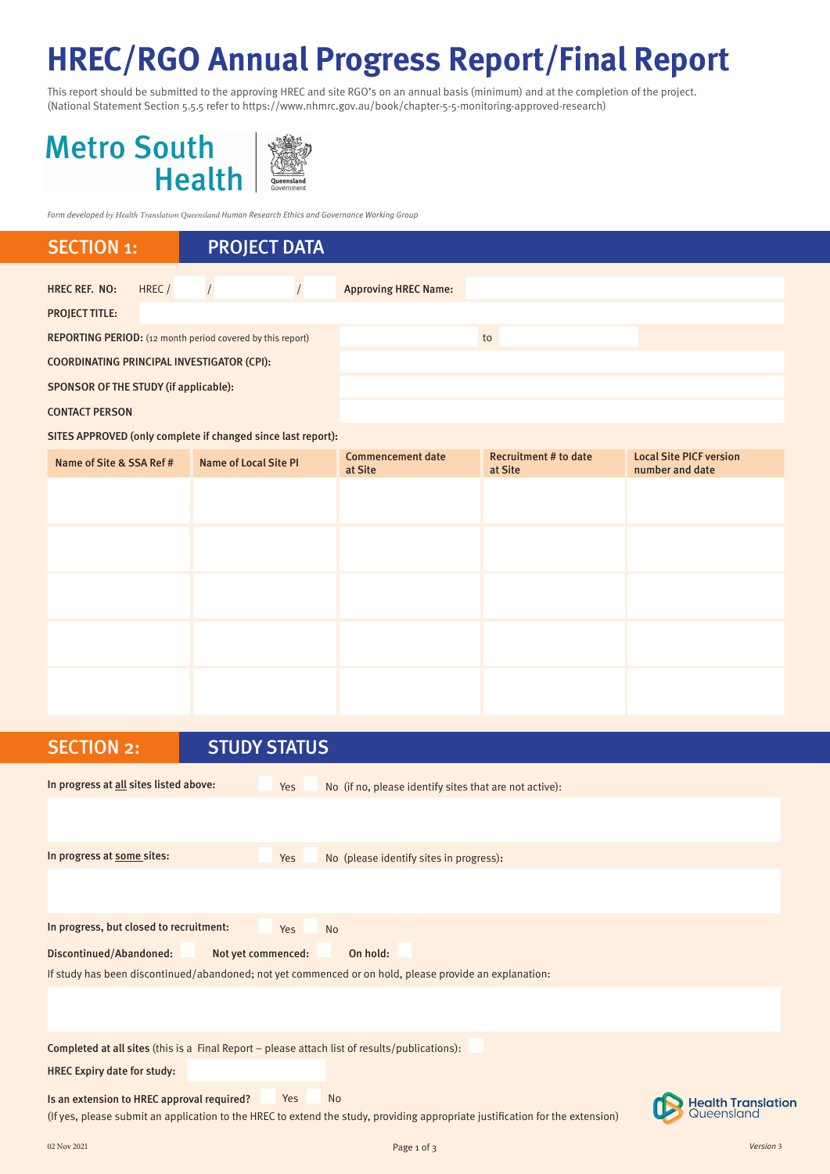# **HREC/RGO Annual Progress Report/Final Report**

This report should be submitted to the approving HREC and site RGO's on an annual basis (minimum) and at the completion of the project. (National Statement Section 5.5.5 refer to https://www.nhmrc.gov.au/book/chapter-5-5-monitoring-approved-research)

# **Metro South Health**



*Form developed by Health Translation Queensland Human Research Ethics and Governance Working Group*

# HREC REF. NO: HREC / / / / / Approving HREC Name: PROJECT TITLE: REPORTING PERIOD: (12 month period covered by this report) to COORDINATING PRINCIPAL INVESTIGATOR (CPI): SPONSOR OF THE STUDY (if applicable): CONTACT PERSON SECTION 1: PROJECT DATA

SITES APPROVED (only complete if changed since last report):

| Name of Site & SSA Ref # | <b>Name of Local Site PI</b> | <b>Commencement date</b><br>at Site | <b>Recruitment # to date</b><br>at Site | <b>Local Site PICF version</b><br>number and date |
|--------------------------|------------------------------|-------------------------------------|-----------------------------------------|---------------------------------------------------|
|                          |                              |                                     |                                         |                                                   |
|                          |                              |                                     |                                         |                                                   |
|                          |                              |                                     |                                         |                                                   |
|                          |                              |                                     |                                         |                                                   |
|                          |                              |                                     |                                         |                                                   |
|                          |                              |                                     |                                         |                                                   |
|                          |                              |                                     |                                         |                                                   |

| <b>SECTION 2:</b>                          | <b>STUDY STATUS</b>                                                                                                           |                                         |
|--------------------------------------------|-------------------------------------------------------------------------------------------------------------------------------|-----------------------------------------|
| In progress at all sites listed above:     | No (if no, please identify sites that are not active):<br>Yes                                                                 |                                         |
|                                            |                                                                                                                               |                                         |
| In progress at some sites:                 | No (please identify sites in progress):<br>Yes                                                                                |                                         |
|                                            |                                                                                                                               |                                         |
| In progress, but closed to recruitment:    | Yes<br><b>No</b>                                                                                                              |                                         |
| <b>Discontinued/Abandoned:</b>             | Not yet commenced:<br>On hold:                                                                                                |                                         |
|                                            | If study has been discontinued/abandoned; not yet commenced or on hold, please provide an explanation:                        |                                         |
|                                            |                                                                                                                               |                                         |
|                                            | Completed at all sites (this is a Final Report - please attach list of results/publications):                                 |                                         |
| <b>HREC Expiry date for study:</b>         |                                                                                                                               |                                         |
| Is an extension to HREC approval required? | <b>No</b><br>Yes                                                                                                              | <b>Health Translation</b><br>Queensland |
|                                            | (If yes, please submit an application to the HREC to extend the study, providing appropriate justification for the extension) |                                         |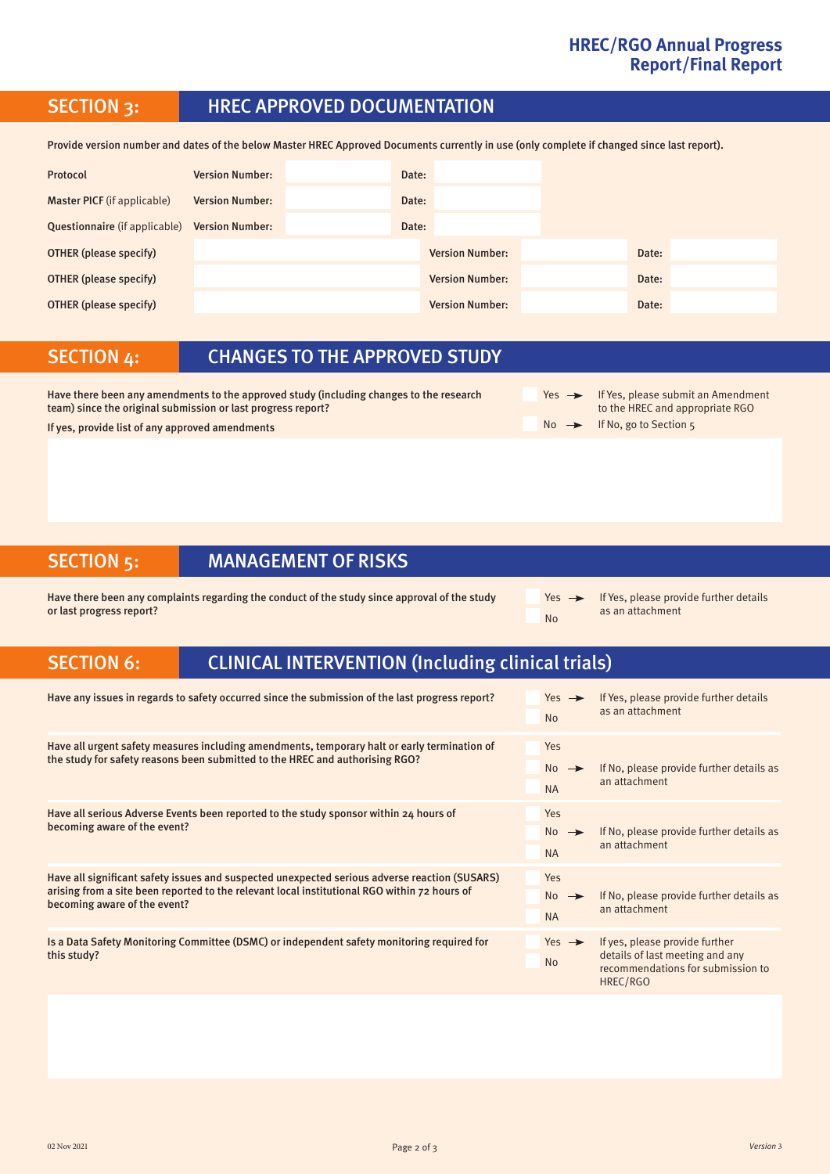#### **HREC/RGO Annual Progress Report/Final Report**

# SECTION 3: HREC APPROVED DOCUMENTATION

Provide version number and dates of the below Master HREC Approved Documents currently in use (only complete if changed since last report).

| Protocol                             | <b>Version Number:</b> | Date: |                        |       |
|--------------------------------------|------------------------|-------|------------------------|-------|
| <b>Master PICF</b> (if applicable)   | <b>Version Number:</b> | Date: |                        |       |
| <b>Questionnaire</b> (if applicable) | <b>Version Number:</b> | Date: |                        |       |
| OTHER (please specify)               |                        |       | <b>Version Number:</b> | Date: |
| <b>OTHER</b> (please specify)        |                        |       | <b>Version Number:</b> | Date: |
| <b>OTHER (please specify)</b>        |                        |       | <b>Version Number:</b> | Date: |

#### SECTION 4: CHANGES TO THE APPROVED STUDY

Have there been any amendments to the approved study (including changes to the research team) since the original submission or last progress report? If yes, provide list of any approved amendments  $\blacksquare$  No  $\blacktriangleright$  If No, go to Section 5

 $Yes \rightarrow If Yes, please submit an Amendment$ to the HREC and appropriate RGO

### SECTION 5: MANAGEMENT OF RISKS

Have there been any complaints regarding the conduct of the study since approval of the study or last progress report?

 $Yes \rightarrow$  If Yes, please provide further details as an attachment No

# SECTION 6: CLINICAL INTERVENTION (Including clinical trials)

| Have any issues in regards to safety occurred since the submission of the last progress report?                                                                                                                               | Yes $\rightarrow$<br><b>No</b>              | If Yes, please provide further details<br>as an attachment                                                         |
|-------------------------------------------------------------------------------------------------------------------------------------------------------------------------------------------------------------------------------|---------------------------------------------|--------------------------------------------------------------------------------------------------------------------|
| Have all urgent safety measures including amendments, temporary halt or early termination of<br>the study for safety reasons been submitted to the HREC and authorising RGO?                                                  | Yes<br>$No \rightarrow$<br><b>NA</b>        | If No, please provide further details as<br>an attachment                                                          |
| Have all serious Adverse Events been reported to the study sponsor within 24 hours of<br>becoming aware of the event?                                                                                                         | Yes<br>$No \rightarrow$<br><b>NA</b>        | If No, please provide further details as<br>an attachment                                                          |
| Have all significant safety issues and suspected unexpected serious adverse reaction (SUSARS)<br>arising from a site been reported to the relevant local institutional RGO within 72 hours of<br>becoming aware of the event? | <b>Yes</b><br>$No \rightarrow$<br><b>NA</b> | If No, please provide further details as<br>an attachment                                                          |
| Is a Data Safety Monitoring Committee (DSMC) or independent safety monitoring required for<br>this study?                                                                                                                     | Yes $\rightarrow$<br><b>No</b>              | If yes, please provide further<br>details of last meeting and any<br>recommendations for submission to<br>HREC/RGO |